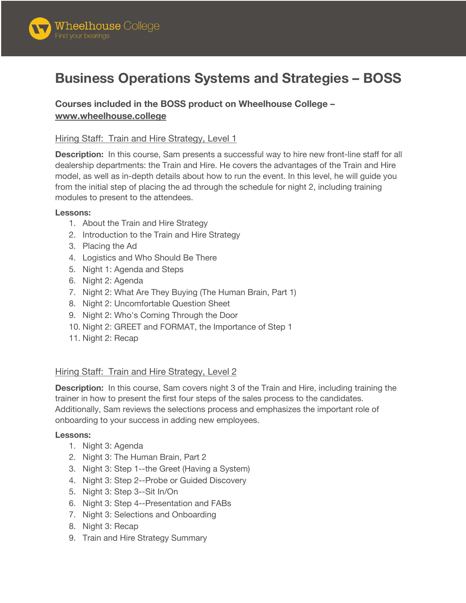

# **Business Operations Systems and Strategies – BOSS**

**Courses included in the BOSS product on Wheelhouse College – www.wheelhouse.college**

## Hiring Staff: Train and Hire Strategy, Level 1

**Description:** In this course, Sam presents a successful way to hire new front-line staff for all dealership departments: the Train and Hire. He covers the advantages of the Train and Hire model, as well as in-depth details about how to run the event. In this level, he will guide you from the initial step of placing the ad through the schedule for night 2, including training modules to present to the attendees.

#### **Lessons:**

- 1. About the Train and Hire Strategy
- 2. Introduction to the Train and Hire Strategy
- 3. Placing the Ad
- 4. Logistics and Who Should Be There
- 5. Night 1: Agenda and Steps
- 6. Night 2: Agenda
- 7. Night 2: What Are They Buying (The Human Brain, Part 1)
- 8. Night 2: Uncomfortable Question Sheet
- 9. Night 2: Who's Coming Through the Door
- 10. Night 2: GREET and FORMAT, the Importance of Step 1
- 11. Night 2: Recap

## Hiring Staff: Train and Hire Strategy, Level 2

**Description:** In this course, Sam covers night 3 of the Train and Hire, including training the trainer in how to present the first four steps of the sales process to the candidates. Additionally, Sam reviews the selections process and emphasizes the important role of onboarding to your success in adding new employees.

#### **Lessons:**

- 1. Night 3: Agenda
- 2. Night 3: The Human Brain, Part 2
- 3. Night 3: Step 1--the Greet (Having a System)
- 4. Night 3: Step 2--Probe or Guided Discovery
- 5. Night 3: Step 3--Sit In/On
- 6. Night 3: Step 4--Presentation and FABs
- 7. Night 3: Selections and Onboarding
- 8. Night 3: Recap
- 9. Train and Hire Strategy Summary